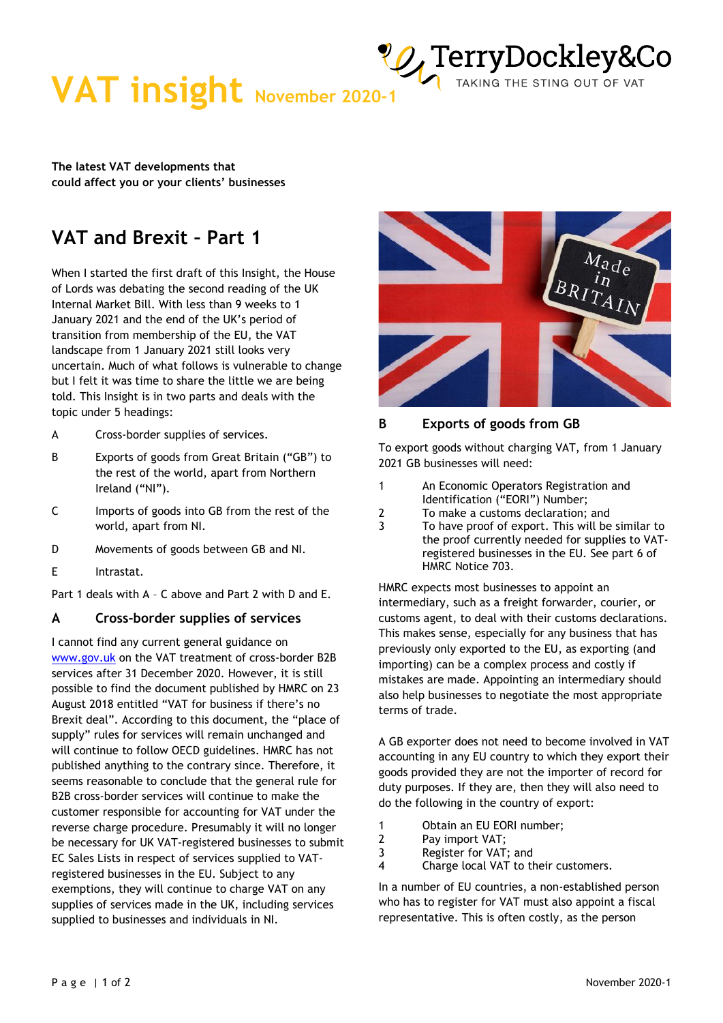**VAT insight** November 2020-1 TAKING THE STING OUT OF VAT

**The latest VAT developments that could affect you or your clients' businesses** 

## **VAT and Brexit – Part 1**

When I started the first draft of this Insight, the House of Lords was debating the second reading of the UK Internal Market Bill. With less than 9 weeks to 1 January 2021 and the end of the UK's period of transition from membership of the EU, the VAT landscape from 1 January 2021 still looks very uncertain. Much of what follows is vulnerable to change but I felt it was time to share the little we are being told. This Insight is in two parts and deals with the topic under 5 headings:

- A Cross-border supplies of services.
- B Exports of goods from Great Britain ("GB") to the rest of the world, apart from Northern Ireland ("NI").
- C Imports of goods into GB from the rest of the world, apart from NI.
- D Movements of goods between GB and NI.
- E Intrastat.

Part 1 deals with A – C above and Part 2 with D and E.

### **A Cross-border supplies of services**

I cannot find any current general guidance on [www.gov.uk](http://www.gov.uk/) on the VAT treatment of cross-border B2B services after 31 December 2020. However, it is still possible to find the document published by HMRC on 23 August 2018 entitled "VAT for business if there's no Brexit deal". According to this document, the "place of supply" rules for services will remain unchanged and will continue to follow OECD guidelines. HMRC has not published anything to the contrary since. Therefore, it seems reasonable to conclude that the general rule for B2B cross-border services will continue to make the customer responsible for accounting for VAT under the reverse charge procedure. Presumably it will no longer be necessary for UK VAT-registered businesses to submit EC Sales Lists in respect of services supplied to VATregistered businesses in the EU. Subject to any exemptions, they will continue to charge VAT on any supplies of services made in the UK, including services supplied to businesses and individuals in NI.



TAKING THE STING OUT OF VAT

### **B Exports of goods from GB**

To export goods without charging VAT, from 1 January 2021 GB businesses will need:

- 1 An Economic Operators Registration and Identification ("EORI") Number;
- 2 To make a customs declaration; and
- 3 To have proof of export. This will be similar to the proof currently needed for supplies to VATregistered businesses in the EU. See part 6 of HMRC Notice 703.

HMRC expects most businesses to appoint an intermediary, such as a freight forwarder, courier, or customs agent, to deal with their customs declarations. This makes sense, especially for any business that has previously only exported to the EU, as exporting (and importing) can be a complex process and costly if mistakes are made. Appointing an intermediary should also help businesses to negotiate the most appropriate terms of trade.

A GB exporter does not need to become involved in VAT accounting in any EU country to which they export their goods provided they are not the importer of record for duty purposes. If they are, then they will also need to do the following in the country of export:

- 1 Obtain an EU EORI number;
- 2 Pay import VAT;
- 3 Register for VAT; and
- 4 Charge local VAT to their customers.

In a number of EU countries, a non-established person who has to register for VAT must also appoint a fiscal representative. This is often costly, as the person